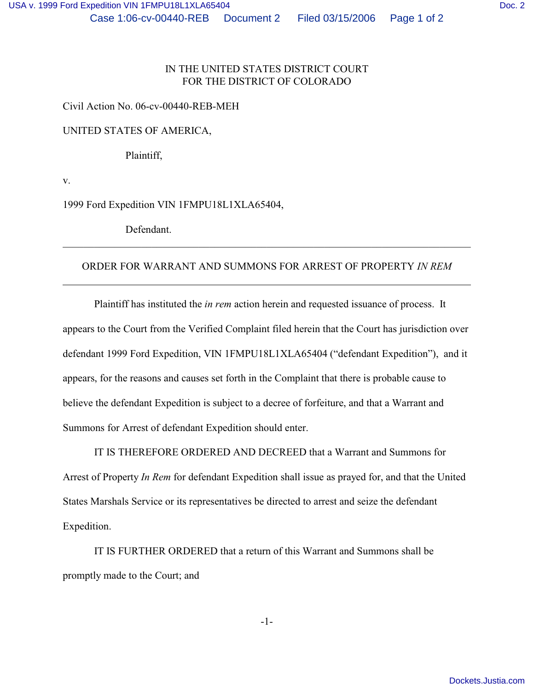# IN THE UNITED STATES DISTRICT COURT FOR THE DISTRICT OF COLORADO

Civil Action No. 06-cv-00440-REB-MEH

UNITED STATES OF AMERICA,

Plaintiff,

v.

1999 Ford Expedition VIN 1FMPU18L1XLA65404,

Defendant.

## ORDER FOR WARRANT AND SUMMONS FOR ARREST OF PROPERTY *IN REM*

\_\_\_\_\_\_\_\_\_\_\_\_\_\_\_\_\_\_\_\_\_\_\_\_\_\_\_\_\_\_\_\_\_\_\_\_\_\_\_\_\_\_\_\_\_\_\_\_\_\_\_\_\_\_\_\_\_\_\_\_\_\_\_\_\_\_\_\_\_\_\_\_\_\_\_\_\_\_

Plaintiff has instituted the *in rem* action herein and requested issuance of process. It appears to the Court from the Verified Complaint filed herein that the Court has jurisdiction over defendant 1999 Ford Expedition, VIN 1FMPU18L1XLA65404 ("defendant Expedition"), and it appears, for the reasons and causes set forth in the Complaint that there is probable cause to believe the defendant Expedition is subject to a decree of forfeiture, and that a Warrant and Summons for Arrest of defendant Expedition should enter.

IT IS THEREFORE ORDERED AND DECREED that a Warrant and Summons for Arrest of Property *In Rem* for defendant Expedition shall issue as prayed for, and that the United States Marshals Service or its representatives be directed to arrest and seize the defendant Expedition.

IT IS FURTHER ORDERED that a return of this Warrant and Summons shall be promptly made to the Court; and

-1-